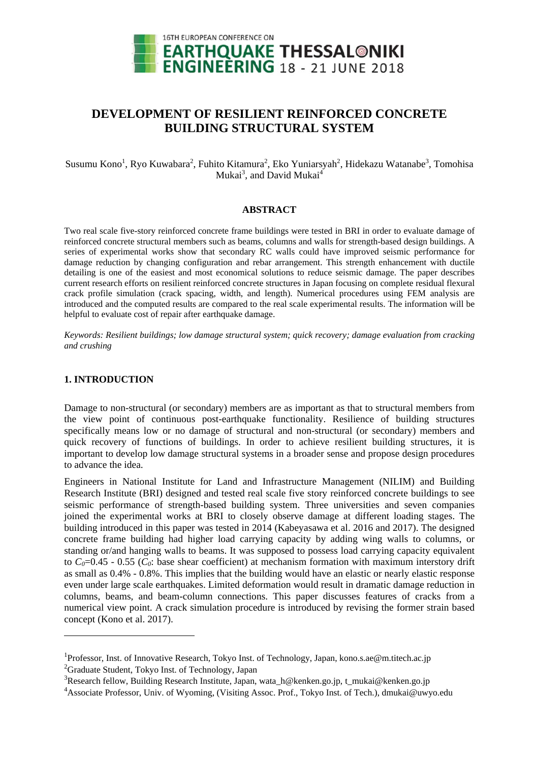

# **DEVELOPMENT OF RESILIENT REINFORCED CONCRETE BUILDING STRUCTURAL SYSTEM**

Susumu Kono<sup>1</sup>, Ryo Kuwabara<sup>2</sup>, Fuhito Kitamura<sup>2</sup>, Eko Yuniarsyah<sup>2</sup>, Hidekazu Watanabe<sup>3</sup>, Tomohisa Mukai<sup>3</sup>, and David Mukai<sup>4</sup>

# **ABSTRACT**

Two real scale five-story reinforced concrete frame buildings were tested in BRI in order to evaluate damage of reinforced concrete structural members such as beams, columns and walls for strength-based design buildings. A series of experimental works show that secondary RC walls could have improved seismic performance for damage reduction by changing configuration and rebar arrangement. This strength enhancement with ductile detailing is one of the easiest and most economical solutions to reduce seismic damage. The paper describes current research efforts on resilient reinforced concrete structures in Japan focusing on complete residual flexural crack profile simulation (crack spacing, width, and length). Numerical procedures using FEM analysis are introduced and the computed results are compared to the real scale experimental results. The information will be helpful to evaluate cost of repair after earthquake damage.

*Keywords: Resilient buildings; low damage structural system; quick recovery; damage evaluation from cracking and crushing* 

## **1. INTRODUCTION**

-

Damage to non-structural (or secondary) members are as important as that to structural members from the view point of continuous post-earthquake functionality. Resilience of building structures specifically means low or no damage of structural and non-structural (or secondary) members and quick recovery of functions of buildings. In order to achieve resilient building structures, it is important to develop low damage structural systems in a broader sense and propose design procedures to advance the idea.

Engineers in National Institute for Land and Infrastructure Management (NILIM) and Building Research Institute (BRI) designed and tested real scale five story reinforced concrete buildings to see seismic performance of strength-based building system. Three universities and seven companies joined the experimental works at BRI to closely observe damage at different loading stages. The building introduced in this paper was tested in 2014 (Kabeyasawa et al. 2016 and 2017). The designed concrete frame building had higher load carrying capacity by adding wing walls to columns, or standing or/and hanging walls to beams. It was supposed to possess load carrying capacity equivalent to  $C_0$ =0.45 - 0.55 ( $C_0$ : base shear coefficient) at mechanism formation with maximum interstory drift as small as 0.4% - 0.8%. This implies that the building would have an elastic or nearly elastic response even under large scale earthquakes. Limited deformation would result in dramatic damage reduction in columns, beams, and beam-column connections. This paper discusses features of cracks from a numerical view point. A crack simulation procedure is introduced by revising the former strain based concept (Kono et al. 2017).

<sup>&</sup>lt;sup>1</sup>Professor, Inst. of Innovative Research, Tokyo Inst. of Technology, Japan, kono.s.ae@m.titech.ac.jp <sup>2</sup>Graduate Student, Tokyo Inst. of Technology, Japan

<sup>&</sup>lt;sup>3</sup>Research fellow, Building Research Institute, Japan, wata\_h@kenken.go.jp, t\_mukai@kenken.go.jp

<sup>4</sup> Associate Professor, Univ. of Wyoming, (Visiting Assoc. Prof., Tokyo Inst. of Tech.), dmukai@uwyo.edu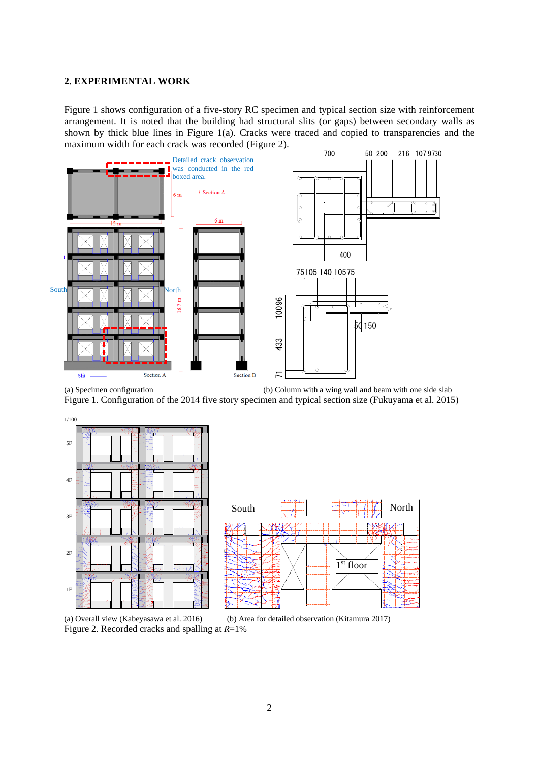## **2. EXPERIMENTAL WORK**

Figure 1 shows configuration of a five-story RC specimen and typical section size with reinforcement arrangement. It is noted that the building had structural slits (or gaps) between secondary walls as shown by thick blue lines in Figure 1(a). Cracks were traced and copied to transparencies and the maximum width for each crack was recorded (Figure 2).



(a) Specimen configuration (b) Column with a wing wall and beam with one side slab Figure 1. Configuration of the 2014 five story specimen and typical section size (Fukuyama et al. 2015)



(a) Overall view (Kabeyasawa et al. 2016) (b) Area for detailed observation (Kitamura 2017) Figure 2. Recorded cracks and spalling at *R*=1%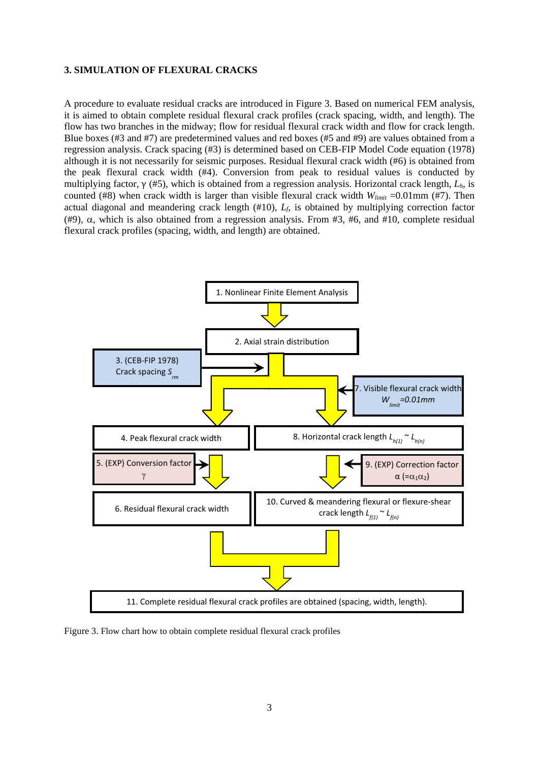## **3. SIMULATION OF FLEXURAL CRACKS**

A procedure to evaluate residual cracks are introduced in Figure 3. Based on numerical FEM analysis, it is aimed to obtain complete residual flexural crack profiles (crack spacing, width, and length). The flow has two branches in the midway; flow for residual flexural crack width and flow for crack length. Blue boxes (#3 and #7) are predetermined values and red boxes (#5 and #9) are values obtained from a regression analysis. Crack spacing (#3) is determined based on CEB-FIP Model Code equation (1978) although it is not necessarily for seismic purposes. Residual flexural crack width (#6) is obtained from the peak flexural crack width (#4). Conversion from peak to residual values is conducted by multiplying factor, γ (#5), which is obtained from a regression analysis. Horizontal crack length, *Lh*, is counted (#8) when crack width is larger than visible flexural crack width  $W_{limit} = 0.01$ mm (#7). Then actual diagonal and meandering crack length (#10), *Lf*, is obtained by multiplying correction factor (#9),  $\alpha$ , which is also obtained from a regression analysis. From #3, #6, and #10, complete residual flexural crack profiles (spacing, width, and length) are obtained.



Figure 3. Flow chart how to obtain complete residual flexural crack profiles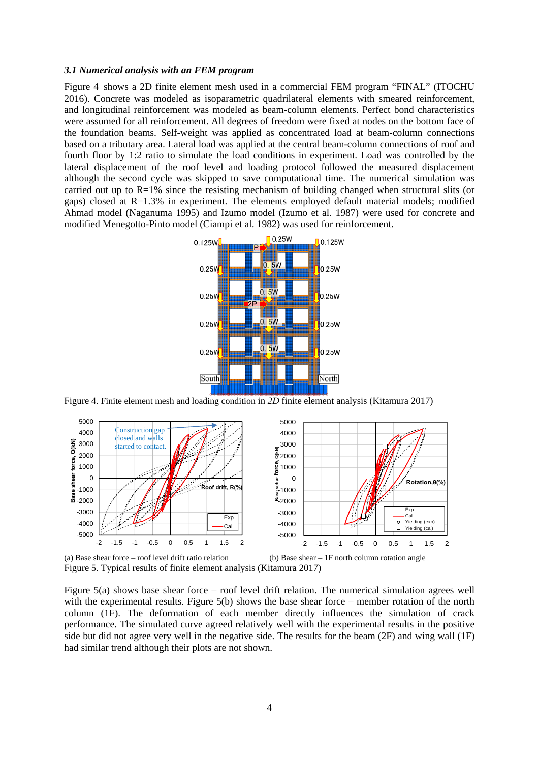#### *3.1 Numerical analysis with an FEM program*

Figure 4 shows a 2D finite element mesh used in a commercial FEM program "FINAL" (ITOCHU 2016). Concrete was modeled as isoparametric quadrilateral elements with smeared reinforcement, and longitudinal reinforcement was modeled as beam-column elements. Perfect bond characteristics were assumed for all reinforcement. All degrees of freedom were fixed at nodes on the bottom face of the foundation beams. Self-weight was applied as concentrated load at beam-column connections based on a tributary area. Lateral load was applied at the central beam-column connections of roof and fourth floor by 1:2 ratio to simulate the load conditions in experiment. Load was controlled by the lateral displacement of the roof level and loading protocol followed the measured displacement although the second cycle was skipped to save computational time. The numerical simulation was carried out up to R=1% since the resisting mechanism of building changed when structural slits (or gaps) closed at R=1.3% in experiment. The elements employed default material models; modified Ahmad model (Naganuma 1995) and Izumo model (Izumo et al. 1987) were used for concrete and modified Menegotto-Pinto model (Ciampi et al. 1982) was used for reinforcement.



Figure 4. Finite element mesh and loading condition in *2D* finite element analysis (Kitamura 2017)



(a) Base shear force – roof level drift ratio relation (b) Base shear – 1F north column rotation angle Figure 5. Typical results of finite element analysis (Kitamura 2017)

Figure 5(a) shows base shear force – roof level drift relation. The numerical simulation agrees well with the experimental results. Figure 5(b) shows the base shear force – member rotation of the north column (1F). The deformation of each member directly influences the simulation of crack performance. The simulated curve agreed relatively well with the experimental results in the positive side but did not agree very well in the negative side. The results for the beam (2F) and wing wall (1F) had similar trend although their plots are not shown.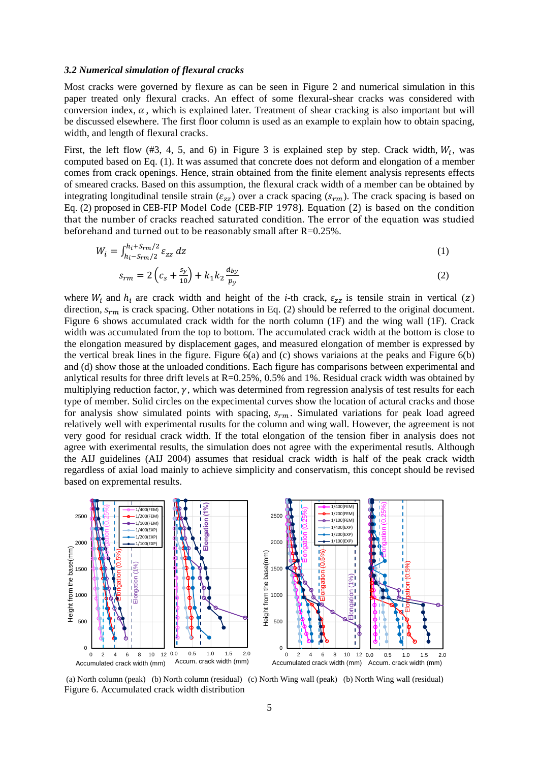#### *3.2 Numerical simulation of flexural cracks*

Most cracks were governed by flexure as can be seen in Figure 2 and numerical simulation in this paper treated only flexural cracks. An effect of some flexural-shear cracks was considered with conversion index,  $\alpha$ , which is explained later. Treatment of shear cracking is also important but will be discussed elsewhere. The first floor column is used as an example to explain how to obtain spacing, width, and length of flexural cracks.

First, the left flow (#3, 4, 5, and 6) in Figure 3 is explained step by step. Crack width,  $W_i$ , was computed based on Eq. (1). It was assumed that concrete does not deform and elongation of a member comes from crack openings. Hence, strain obtained from the finite element analysis represents effects of smeared cracks. Based on this assumption, the flexural crack width of a member can be obtained by integrating longitudinal tensile strain ( $\varepsilon_{zz}$ ) over a crack spacing ( $s_{rm}$ ). The crack spacing is based on Eq. (2) proposed in CEB-FIP Model Code (CEB-FIP 1978). Equation (2) is based on the condition that the number of cracks reached saturated condition. The error of the equation was studied beforehand and turned out to be reasonably small after  $R=0.25\%$ .

$$
W_i = \int_{h_i - S_{rm}/2}^{h_i + S_{rm}/2} \varepsilon_{zz} dz
$$
 (1)

$$
s_{rm} = 2\left(c_s + \frac{s_y}{10}\right) + k_1 k_2 \frac{d_{by}}{p_y}
$$
 (2)

where  $W_i$  and  $h_i$  are crack width and height of the *i*-th crack,  $\varepsilon_{zz}$  is tensile strain in vertical (z) direction,  $s_{rm}$  is crack spacing. Other notations in Eq. (2) should be referred to the original document. Figure 6 shows accumulated crack width for the north column (1F) and the wing wall (1F). Crack width was accumulated from the top to bottom. The accumulated crack width at the bottom is close to the elongation measured by displacement gages, and measured elongation of member is expressed by the vertical break lines in the figure. Figure 6(a) and (c) shows variaions at the peaks and Figure 6(b) and (d) show those at the unloaded conditions. Each figure has comparisons between experimental and anlytical results for three drift levels at  $R=0.25\%$ , 0.5% and 1%. Residual crack width was obtained by multiplying reduction factor,  $\gamma$ , which was determined from regression analysis of test results for each type of member. Solid circles on the expecimental curves show the location of actural cracks and those for analysis show simulated points with spacing,  $s_{rm}$ . Simulated variations for peak load agreed relatively well with experimental rusults for the column and wing wall. However, the agreement is not very good for residual crack width. If the total elongation of the tension fiber in analysis does not agree with exerimental results, the simulation does not agree with the experimental resutls. Although the AIJ guidelines (AIJ 2004) assumes that residual crack width is half of the peak crack width regardless of axial load mainly to achieve simplicity and conservatism, this concept should be revised based on expremental results.



 (a) North column (peak) (b) North column (residual) (c) North Wing wall (peak) (b) North Wing wall (residual) Figure 6. Accumulated crack width distribution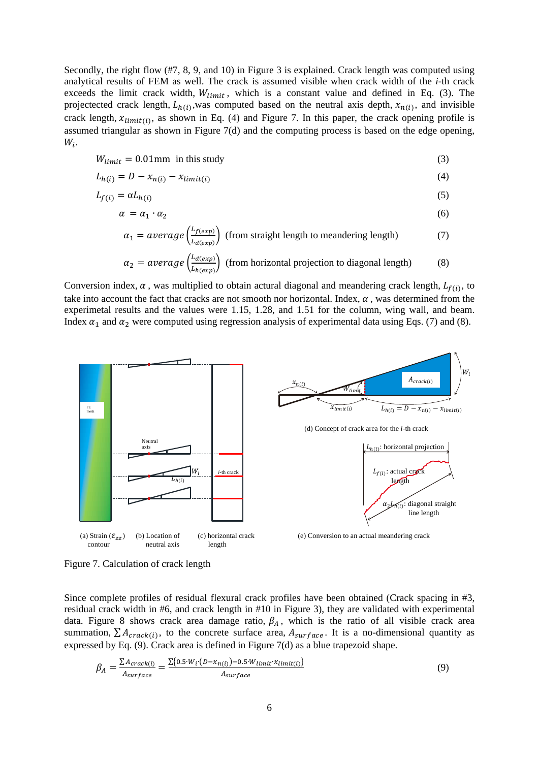Secondly, the right flow (#7, 8, 9, and 10) in Figure 3 is explained. Crack length was computed using analytical results of FEM as well. The crack is assumed visible when crack width of the *i*-th crack exceeds the limit crack width,  $W_{limit}$ , which is a constant value and defined in Eq. (3). The projectected crack length,  $L_{h(i)}$ ,was computed based on the neutral axis depth,  $x_{n(i)}$ , and invisible crack length,  $x_{limit(i)}$ , as shown in Eq. (4) and Figure 7. In this paper, the crack opening profile is assumed triangular as shown in Figure 7(d) and the computing process is based on the edge opening,  $W_i$ .

$$
W_{limit} = 0.01 \,\text{mm} \text{ in this study} \tag{3}
$$

$$
L_{h(i)} = D - x_{n(i)} - x_{limit(i)}
$$
\n<sup>(4)</sup>

$$
L_{f(i)} = \alpha L_{h(i)} \tag{5}
$$

$$
\alpha = \alpha_1 \cdot \alpha_2 \tag{6}
$$

$$
\alpha_1 = average\left(\frac{L_{f(exp)}}{L_{d(exp)}}\right)
$$
 (from straight length to meaning length) (7)

$$
\alpha_2 = average\left(\frac{L_{d(exp)}}{L_{h(exp)}}\right)
$$
 (from horizontal projection to diagonal length) (8)

Conversion index,  $\alpha$ , was multiplied to obtain actural diagonal and meandering crack length,  $L_{f(i)}$ , to take into account the fact that cracks are not smooth nor horizontal. Index,  $\alpha$ , was determined from the experimetal results and the values were 1.15, 1.28, and 1.51 for the column, wing wall, and beam. Index  $\alpha_1$  and  $\alpha_2$  were computed using regression analysis of experimental data using Eqs. (7) and (8).



Figure 7. Calculation of crack length

Since complete profiles of residual flexural crack profiles have been obtained (Crack spacing in #3, residual crack width in #6, and crack length in #10 in Figure 3), they are validated with experimental data. Figure 8 shows crack area damage ratio,  $\beta_A$ , which is the ratio of all visible crack area summation,  $\sum A_{crack(i)}$ , to the concrete surface area,  $A_{surface}$ . It is a no-dimensional quantity as expressed by Eq. (9). Crack area is defined in Figure 7(d) as a blue trapezoid shape.

$$
\beta_A = \frac{\sum A_{crack(i)}}{A_{surface}} = \frac{\sum \{0.5 \cdot W_i \cdot (D - x_{n(i)}) - 0.5 \cdot W_{limit} \cdot x_{limit(i)}\}}{A_{surface}}
$$
\n(9)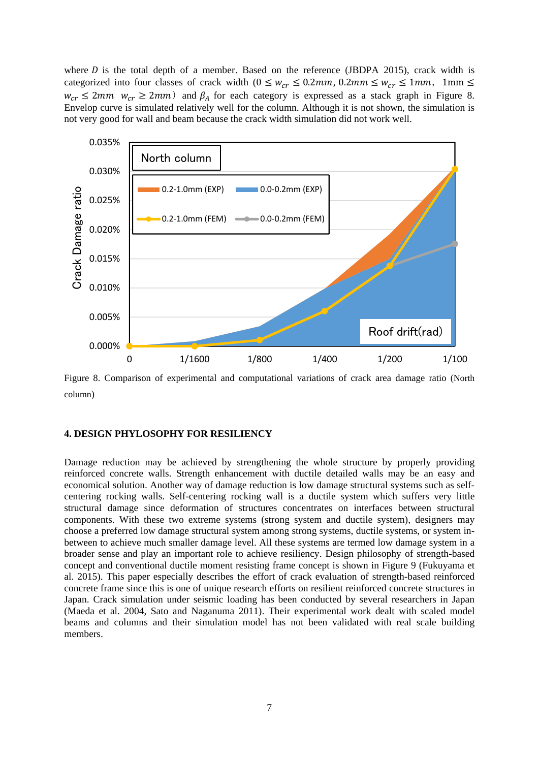where  $D$  is the total depth of a member. Based on the reference (JBDPA 2015), crack width is categorized into four classes of crack width  $(0 \leq w_{cr} \leq 0.2mm, 0.2mm \leq w_{cr} \leq 1mm, 1mm \leq$  $w_{cr} \le 2mm$   $w_{cr} \ge 2mm$ ) and  $\beta_A$  for each category is expressed as a stack graph in Figure 8. Envelop curve is simulated relatively well for the column. Although it is not shown, the simulation is not very good for wall and beam because the crack width simulation did not work well.



Figure 8. Comparison of experimental and computational variations of crack area damage ratio (North column)

#### **4. DESIGN PHYLOSOPHY FOR RESILIENCY**

Damage reduction may be achieved by strengthening the whole structure by properly providing reinforced concrete walls. Strength enhancement with ductile detailed walls may be an easy and economical solution. Another way of damage reduction is low damage structural systems such as selfcentering rocking walls. Self-centering rocking wall is a ductile system which suffers very little structural damage since deformation of structures concentrates on interfaces between structural components. With these two extreme systems (strong system and ductile system), designers may choose a preferred low damage structural system among strong systems, ductile systems, or system inbetween to achieve much smaller damage level. All these systems are termed low damage system in a broader sense and play an important role to achieve resiliency. Design philosophy of strength-based concept and conventional ductile moment resisting frame concept is shown in Figure 9 (Fukuyama et al. 2015). This paper especially describes the effort of crack evaluation of strength-based reinforced concrete frame since this is one of unique research efforts on resilient reinforced concrete structures in Japan. Crack simulation under seismic loading has been conducted by several researchers in Japan (Maeda et al. 2004, Sato and Naganuma 2011). Their experimental work dealt with scaled model beams and columns and their simulation model has not been validated with real scale building members.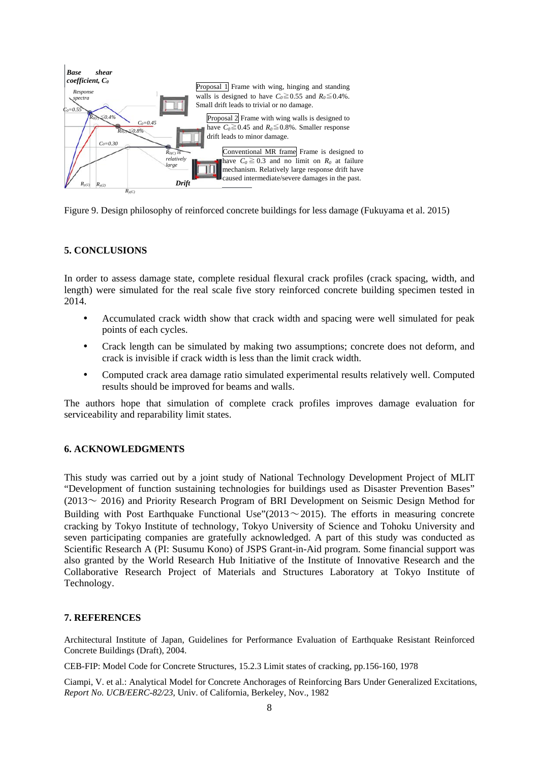

Figure 9. Design philosophy of reinforced concrete buildings for less damage (Fukuyama et al. 2015)

# **5. CONCLUSIONS**

In order to assess damage state, complete residual flexural crack profiles (crack spacing, width, and length) were simulated for the real scale five story reinforced concrete building specimen tested in 2014.

- Accumulated crack width show that crack width and spacing were well simulated for peak points of each cycles.
- Crack length can be simulated by making two assumptions; concrete does not deform, and crack is invisible if crack width is less than the limit crack width.
- Computed crack area damage ratio simulated experimental results relatively well. Computed results should be improved for beams and walls.

The authors hope that simulation of complete crack profiles improves damage evaluation for serviceability and reparability limit states.

## **6. ACKNOWLEDGMENTS**

This study was carried out by a joint study of National Technology Development Project of MLIT "Development of function sustaining technologies for buildings used as Disaster Prevention Bases"  $(2013 \sim 2016)$  and Priority Research Program of BRI Development on Seismic Design Method for Building with Post Earthquake Functional Use"(2013 $\sim$ 2015). The efforts in measuring concrete cracking by Tokyo Institute of technology, Tokyo University of Science and Tohoku University and seven participating companies are gratefully acknowledged. A part of this study was conducted as Scientific Research A (PI: Susumu Kono) of JSPS Grant-in-Aid program. Some financial support was also granted by the World Research Hub Initiative of the Institute of Innovative Research and the Collaborative Research Project of Materials and Structures Laboratory at Tokyo Institute of Technology.

#### **7. REFERENCES**

Architectural Institute of Japan, Guidelines for Performance Evaluation of Earthquake Resistant Reinforced Concrete Buildings (Draft), 2004.

CEB-FIP: Model Code for Concrete Structures, 15.2.3 Limit states of cracking, pp.156-160, 1978

Ciampi, V. et al.: Analytical Model for Concrete Anchorages of Reinforcing Bars Under Generalized Excitations, *Report No. UCB/EERC-82/23*, Univ. of California, Berkeley, Nov., 1982